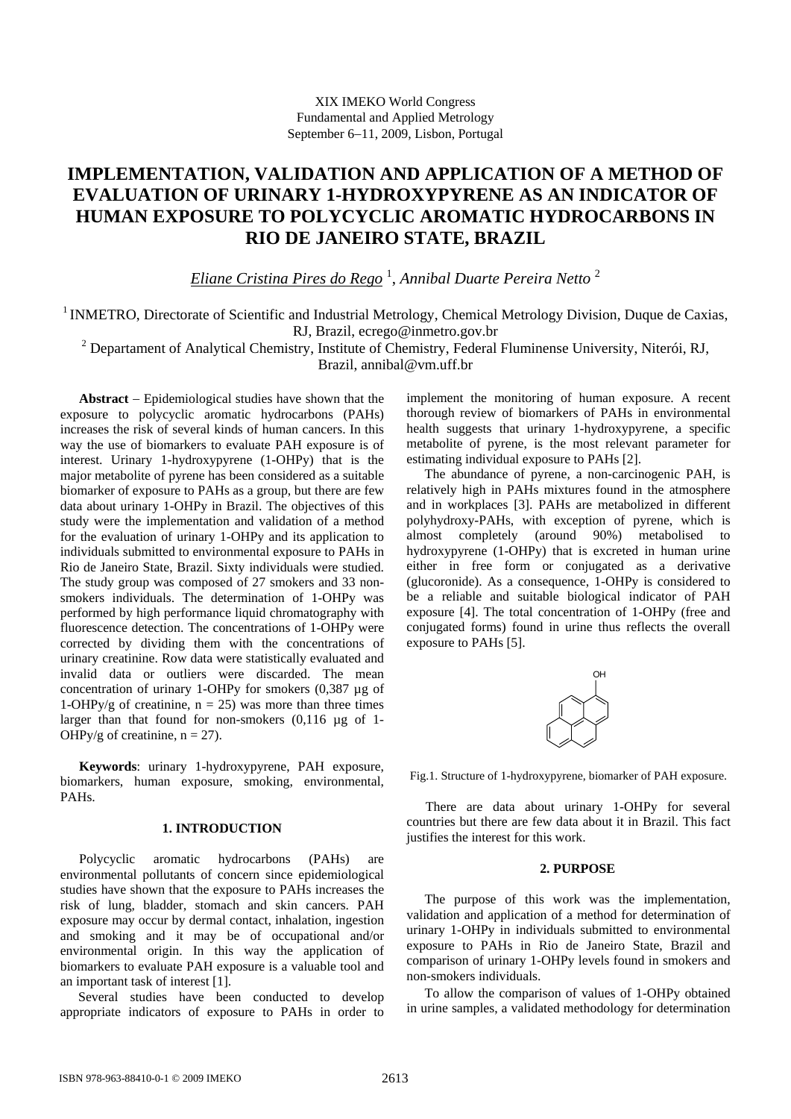# **IMPLEMENTATION, VALIDATION AND APPLICATION OF A METHOD OF EVALUATION OF URINARY 1-HYDROXYPYRENE AS AN INDICATOR OF HUMAN EXPOSURE TO POLYCYCLIC AROMATIC HYDROCARBONS IN RIO DE JANEIRO STATE, BRAZIL**

*Eliane Cristina Pires do Rego* <sup>1</sup> , *Annibal Duarte Pereira Netto* <sup>2</sup>

<sup>1</sup> INMETRO, Directorate of Scientific and Industrial Metrology, Chemical Metrology Division, Duque de Caxias, RJ, Brazil, ecrego@inmetro.gov.br

<sup>2</sup> Departament of Analytical Chemistry, Institute of Chemistry, Federal Fluminense University, Niterói, RJ, Brazil, annibal@vm.uff.br

**Abstract** − Epidemiological studies have shown that the exposure to polycyclic aromatic hydrocarbons (PAHs) increases the risk of several kinds of human cancers. In this way the use of biomarkers to evaluate PAH exposure is of interest. Urinary 1-hydroxypyrene (1-OHPy) that is the major metabolite of pyrene has been considered as a suitable biomarker of exposure to PAHs as a group, but there are few data about urinary 1-OHPy in Brazil. The objectives of this study were the implementation and validation of a method for the evaluation of urinary 1-OHPy and its application to individuals submitted to environmental exposure to PAHs in Rio de Janeiro State, Brazil. Sixty individuals were studied. The study group was composed of 27 smokers and 33 nonsmokers individuals. The determination of 1-OHPy was performed by high performance liquid chromatography with fluorescence detection. The concentrations of 1-OHPy were corrected by dividing them with the concentrations of urinary creatinine. Row data were statistically evaluated and invalid data or outliers were discarded. The mean concentration of urinary 1-OHPy for smokers (0,387 µg of 1-OHPy/g of creatinine,  $n = 25$ ) was more than three times larger than that found for non-smokers (0,116 µg of 1- OHPy/g of creatinine,  $n = 27$ ).

**Keywords**: urinary 1-hydroxypyrene, PAH exposure, biomarkers, human exposure, smoking, environmental, PAHs.

# **1. INTRODUCTION**

Polycyclic aromatic hydrocarbons (PAHs) are environmental pollutants of concern since epidemiological studies have shown that the exposure to PAHs increases the risk of lung, bladder, stomach and skin cancers. PAH exposure may occur by dermal contact, inhalation, ingestion and smoking and it may be of occupational and/or environmental origin. In this way the application of biomarkers to evaluate PAH exposure is a valuable tool and an important task of interest [1].

Several studies have been conducted to develop appropriate indicators of exposure to PAHs in order to implement the monitoring of human exposure. A recent thorough review of biomarkers of PAHs in environmental health suggests that urinary 1-hydroxypyrene, a specific metabolite of pyrene, is the most relevant parameter for estimating individual exposure to PAHs [2].

The abundance of pyrene, a non-carcinogenic PAH, is relatively high in PAHs mixtures found in the atmosphere and in workplaces [3]. PAHs are metabolized in different polyhydroxy-PAHs, with exception of pyrene, which is almost completely (around 90%) metabolised to hydroxypyrene (1-OHPy) that is excreted in human urine either in free form or conjugated as a derivative (glucoronide). As a consequence, 1-OHPy is considered to be a reliable and suitable biological indicator of PAH exposure [4]. The total concentration of 1-OHPy (free and conjugated forms) found in urine thus reflects the overall exposure to PAHs [5].



Fig.1. Structure of 1-hydroxypyrene, biomarker of PAH exposure.

There are data about urinary 1-OHPy for several countries but there are few data about it in Brazil. This fact justifies the interest for this work.

### **2. PURPOSE**

The purpose of this work was the implementation, validation and application of a method for determination of urinary 1-OHPy in individuals submitted to environmental exposure to PAHs in Rio de Janeiro State, Brazil and comparison of urinary 1-OHPy levels found in smokers and non-smokers individuals.

To allow the comparison of values of 1-OHPy obtained in urine samples, a validated methodology for determination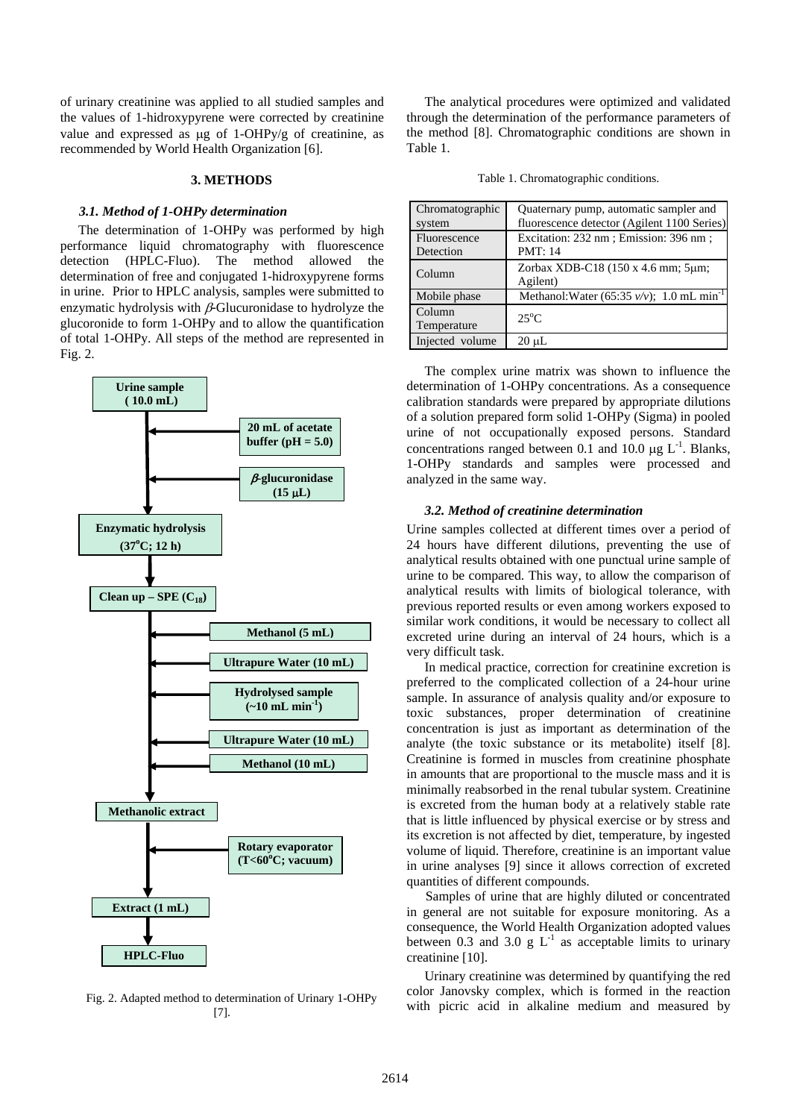of urinary creatinine was applied to all studied samples and the values of 1-hidroxypyrene were corrected by creatinine value and expressed as μg of 1-OHPy/g of creatinine, as recommended by World Health Organization [6].

## **3. METHODS**

### *3.1. Method of 1-OHPy determination*

The determination of 1-OHPy was performed by high performance liquid chromatography with fluorescence detection (HPLC-Fluo). The method allowed the determination of free and conjugated 1-hidroxypyrene forms in urine. Prior to HPLC analysis, samples were submitted to enzymatic hydrolysis with  $\beta$ -Glucuronidase to hydrolyze the glucoronide to form 1-OHPy and to allow the quantification of total 1-OHPy. All steps of the method are represented in Fig. 2.



Fig. 2. Adapted method to determination of Urinary 1-OHPy [7].

The analytical procedures were optimized and validated through the determination of the performance parameters of the method [8]. Chromatographic conditions are shown in Table 1.

Table 1. Chromatographic conditions.

| Chromatographic<br>system | Quaternary pump, automatic sampler and<br>fluorescence detector (Agilent 1100 Series) |
|---------------------------|---------------------------------------------------------------------------------------|
| Fluorescence<br>Detection | Excitation: 232 nm; Emission: 396 nm;<br><b>PMT: 14</b>                               |
| Column                    | Zorbax XDB-C18 (150 x 4.6 mm; 5µm;<br>Agilent)                                        |
| Mobile phase              | Methanol: Water (65:35 $v/v$ ); 1.0 mL min <sup>-1</sup>                              |
| Column<br>Temperature     | $25^{\circ}$ C                                                                        |
| Injected volume           | 20 µL                                                                                 |

The complex urine matrix was shown to influence the determination of 1-OHPy concentrations. As a consequence calibration standards were prepared by appropriate dilutions of a solution prepared form solid 1-OHPy (Sigma) in pooled urine of not occupationally exposed persons. Standard concentrations ranged between 0.1 and 10.0  $\mu$ g L<sup>-1</sup>. Blanks, 1-OHPy standards and samples were processed and analyzed in the same way.

### *3.2. Method of creatinine determination*

Urine samples collected at different times over a period of 24 hours have different dilutions, preventing the use of analytical results obtained with one punctual urine sample of urine to be compared. This way, to allow the comparison of analytical results with limits of biological tolerance, with previous reported results or even among workers exposed to similar work conditions, it would be necessary to collect all excreted urine during an interval of 24 hours, which is a very difficult task.

In medical practice, correction for creatinine excretion is preferred to the complicated collection of a 24-hour urine sample. In assurance of analysis quality and/or exposure to toxic substances, proper determination of creatinine concentration is just as important as determination of the analyte (the toxic substance or its metabolite) itself [8]. Creatinine is formed in muscles from creatinine phosphate in amounts that are proportional to the muscle mass and it is minimally reabsorbed in the renal tubular system. Creatinine is excreted from the human body at a relatively stable rate that is little influenced by physical exercise or by stress and its excretion is not affected by diet, temperature, by ingested volume of liquid. Therefore, creatinine is an important value in urine analyses [9] since it allows correction of excreted quantities of different compounds.

Samples of urine that are highly diluted or concentrated in general are not suitable for exposure monitoring. As a consequence, the World Health Organization adopted values between 0.3 and 3.0 g  $L^{-1}$  as acceptable limits to urinary creatinine [10].

Urinary creatinine was determined by quantifying the red color Janovsky complex, which is formed in the reaction with picric acid in alkaline medium and measured by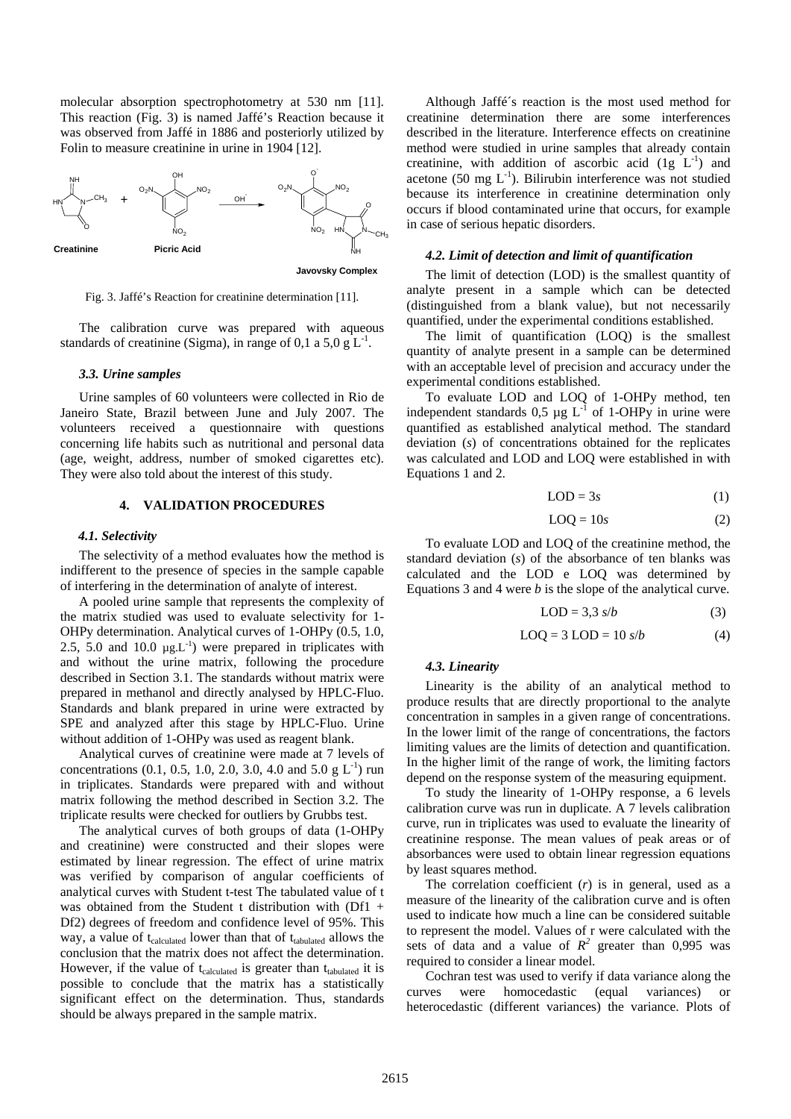molecular absorption spectrophotometry at 530 nm [11]. This reaction (Fig. 3) is named Jaffé's Reaction because it was observed from Jaffé in 1886 and posteriorly utilized by Folin to measure creatinine in urine in 1904 [12].



Fig. 3. Jaffé's Reaction for creatinine determination [11].

The calibration curve was prepared with aqueous standards of creatinine (Sigma), in range of 0.1 a 5,0 g  $L^{-1}$ .

### *3.3. Urine samples*

Urine samples of 60 volunteers were collected in Rio de Janeiro State, Brazil between June and July 2007. The volunteers received a questionnaire with questions concerning life habits such as nutritional and personal data (age, weight, address, number of smoked cigarettes etc). They were also told about the interest of this study.

# **4. VALIDATION PROCEDURES**

### *4.1. Selectivity*

The selectivity of a method evaluates how the method is indifferent to the presence of species in the sample capable of interfering in the determination of analyte of interest.

A pooled urine sample that represents the complexity of the matrix studied was used to evaluate selectivity for 1- OHPy determination. Analytical curves of 1-OHPy (0.5, 1.0, 2.5, 5.0 and 10.0  $\mu$ g.L<sup>-1</sup>) were prepared in triplicates with and without the urine matrix, following the procedure described in Section 3.1. The standards without matrix were prepared in methanol and directly analysed by HPLC-Fluo. Standards and blank prepared in urine were extracted by SPE and analyzed after this stage by HPLC-Fluo. Urine without addition of 1-OHPy was used as reagent blank.

Analytical curves of creatinine were made at 7 levels of concentrations (0.1, 0.5, 1.0, 2.0, 3.0, 4.0 and 5.0 g  $L^{-1}$ ) run in triplicates. Standards were prepared with and without matrix following the method described in Section 3.2. The triplicate results were checked for outliers by Grubbs test.

The analytical curves of both groups of data (1-OHPy and creatinine) were constructed and their slopes were estimated by linear regression. The effect of urine matrix was verified by comparison of angular coefficients of analytical curves with Student t-test The tabulated value of t was obtained from the Student t distribution with (Df1 + Df2) degrees of freedom and confidence level of 95%. This way, a value of t<sub>calculated</sub> lower than that of t<sub>tabulated</sub> allows the conclusion that the matrix does not affect the determination. However, if the value of  $t_{calculated}$  is greater than  $t_{tabulated}$  it is possible to conclude that the matrix has a statistically significant effect on the determination. Thus, standards should be always prepared in the sample matrix.

Although Jaffé´s reaction is the most used method for creatinine determination there are some interferences described in the literature. Interference effects on creatinine method were studied in urine samples that already contain creatinine, with addition of ascorbic acid  $(1g L<sup>-1</sup>)$  and acetone (50 mg  $L^{-1}$ ). Bilirubin interference was not studied because its interference in creatinine determination only occurs if blood contaminated urine that occurs, for example in case of serious hepatic disorders.

### *4.2. Limit of detection and limit of quantification*

The limit of detection (LOD) is the smallest quantity of analyte present in a sample which can be detected (distinguished from a blank value), but not necessarily quantified, under the experimental conditions established.

The limit of quantification (LOQ) is the smallest quantity of analyte present in a sample can be determined with an acceptable level of precision and accuracy under the experimental conditions established.

To evaluate LOD and LOQ of 1-OHPy method, ten independent standards  $0.5 \mu g L^{-1}$  of 1-OHPy in urine were quantified as established analytical method. The standard deviation (*s*) of concentrations obtained for the replicates was calculated and LOD and LOQ were established in with Equations 1 and 2.

$$
LOD = 3s \tag{1}
$$

$$
LOQ = 10s \tag{2}
$$

To evaluate LOD and LOQ of the creatinine method, the standard deviation (*s*) of the absorbance of ten blanks was calculated and the LOD e LOQ was determined by Equations 3 and 4 were *b* is the slope of the analytical curve.

$$
LOD = 3,3 \ s/b \tag{3}
$$

$$
LOQ = 3 \text{ LOD} = 10 \text{ s/b} \tag{4}
$$

### *4.3. Linearity*

Linearity is the ability of an analytical method to produce results that are directly proportional to the analyte concentration in samples in a given range of concentrations. In the lower limit of the range of concentrations, the factors limiting values are the limits of detection and quantification. In the higher limit of the range of work, the limiting factors depend on the response system of the measuring equipment.

To study the linearity of 1-OHPy response, a 6 levels calibration curve was run in duplicate. A 7 levels calibration curve, run in triplicates was used to evaluate the linearity of creatinine response. The mean values of peak areas or of absorbances were used to obtain linear regression equations by least squares method.

The correlation coefficient (*r*) is in general, used as a measure of the linearity of the calibration curve and is often used to indicate how much a line can be considered suitable to represent the model. Values of r were calculated with the sets of data and a value of  $R^2$  greater than 0,995 was required to consider a linear model.

Cochran test was used to verify if data variance along the curves were homocedastic (equal variances) or heterocedastic (different variances) the variance. Plots of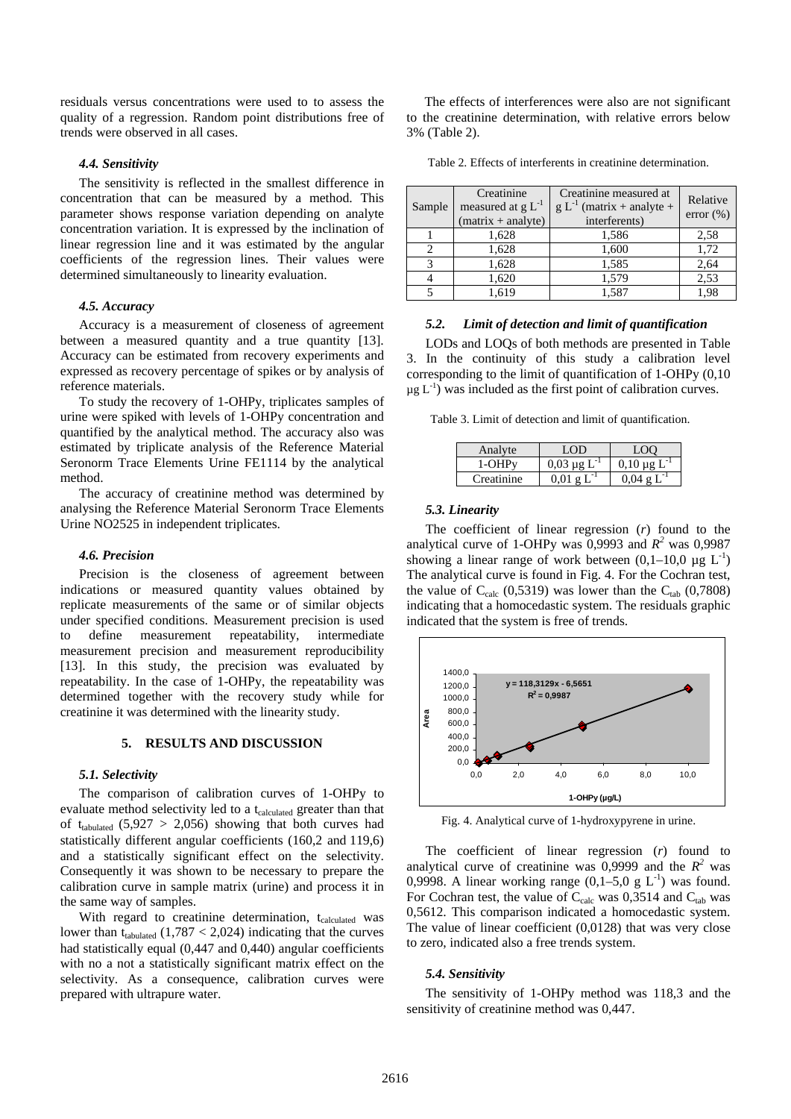residuals versus concentrations were used to to assess the quality of a regression. Random point distributions free of trends were observed in all cases.

### *4.4. Sensitivity*

The sensitivity is reflected in the smallest difference in concentration that can be measured by a method. This parameter shows response variation depending on analyte concentration variation. It is expressed by the inclination of linear regression line and it was estimated by the angular coefficients of the regression lines. Their values were determined simultaneously to linearity evaluation.

# *4.5. Accuracy*

Accuracy is a measurement of closeness of agreement between a measured quantity and a true quantity [13]. Accuracy can be estimated from recovery experiments and expressed as recovery percentage of spikes or by analysis of reference materials.

To study the recovery of 1-OHPy, triplicates samples of urine were spiked with levels of 1-OHPy concentration and quantified by the analytical method. The accuracy also was estimated by triplicate analysis of the Reference Material Seronorm Trace Elements Urine FE1114 by the analytical method.

The accuracy of creatinine method was determined by analysing the Reference Material Seronorm Trace Elements Urine NO2525 in independent triplicates.

#### *4.6. Precision*

Precision is the closeness of agreement between indications or measured quantity values obtained by replicate measurements of the same or of similar objects under specified conditions. Measurement precision is used to define measurement repeatability, intermediate measurement precision and measurement reproducibility [13]. In this study, the precision was evaluated by repeatability. In the case of 1-OHPy, the repeatability was determined together with the recovery study while for creatinine it was determined with the linearity study.

### **5. RESULTS AND DISCUSSION**

### *5.1. Selectivity*

The comparison of calibration curves of 1-OHPy to evaluate method selectivity led to a t<sub>calculated</sub> greater than that of t<sub>tabulated</sub>  $(5,927 > 2,056)$  showing that both curves had statistically different angular coefficients (160,2 and 119,6) and a statistically significant effect on the selectivity. Consequently it was shown to be necessary to prepare the calibration curve in sample matrix (urine) and process it in the same way of samples.

With regard to creatinine determination, t<sub>calculated</sub> was lower than  $t_{\text{tabulated}}$  (1,787 < 2,024) indicating that the curves had statistically equal (0,447 and 0,440) angular coefficients with no a not a statistically significant matrix effect on the selectivity. As a consequence, calibration curves were prepared with ultrapure water.

The effects of interferences were also are not significant to the creatinine determination, with relative errors below 3% (Table 2).

Table 2. Effects of interferents in creatinine determination.

| Sample | Creatinine<br>measured at $g L^{-1}$<br>$(matrix + analyze)$ | Creatinine measured at<br>$g L^{-1}$ (matrix + analyte +<br>interferents) | Relative<br>error $(\% )$ |
|--------|--------------------------------------------------------------|---------------------------------------------------------------------------|---------------------------|
|        | 1,628                                                        | 1,586                                                                     | 2,58                      |
|        | 1,628                                                        | 1,600                                                                     | 1,72                      |
| 2      | 1,628                                                        | 1,585                                                                     | 2,64                      |
|        | 1,620                                                        | 1,579                                                                     | 2,53                      |
|        | 1,619                                                        | 1,587                                                                     | 1,98                      |

# *5.2. Limit of detection and limit of quantification*

LODs and LOQs of both methods are presented in Table 3. In the continuity of this study a calibration level corresponding to the limit of quantification of 1-OHPy (0,10  $\mu$ g L<sup>-1</sup>) was included as the first point of calibration curves.

Table 3. Limit of detection and limit of quantification.

| Analyte    | LOD                | . OC                               |
|------------|--------------------|------------------------------------|
| 1-OHPv     | $0.03 \mu g L$     | $0.10 \mu g L$                     |
| Creatinine | $0.01 \text{ g L}$ | $0.04 \; \mathrm{g} \; \mathrm{L}$ |

### *5.3. Linearity*

The coefficient of linear regression (*r*) found to the analytical curve of 1-OHPy was  $0,9993$  and  $R^2$  was  $0,9987$ showing a linear range of work between  $(0,1-10,0 \mu g L^{-1})$ The analytical curve is found in Fig. 4. For the Cochran test, the value of  $C_{\text{calc}}$  (0,5319) was lower than the  $C_{\text{tab}}$  (0,7808) indicating that a homocedastic system. The residuals graphic indicated that the system is free of trends.



Fig. 4. Analytical curve of 1-hydroxypyrene in urine.

The coefficient of linear regression (*r*) found to analytical curve of creatinine was  $0,9999$  and the  $R^2$  was 0,9998. A linear working range  $(0,1-5,0 \text{ g } L^{-1})$  was found. For Cochran test, the value of  $C_{\text{calc}}$  was 0,3514 and  $C_{\text{tab}}$  was 0,5612. This comparison indicated a homocedastic system. The value of linear coefficient (0,0128) that was very close to zero, indicated also a free trends system.

#### *5.4. Sensitivity*

The sensitivity of 1-OHPy method was 118,3 and the sensitivity of creatinine method was 0,447.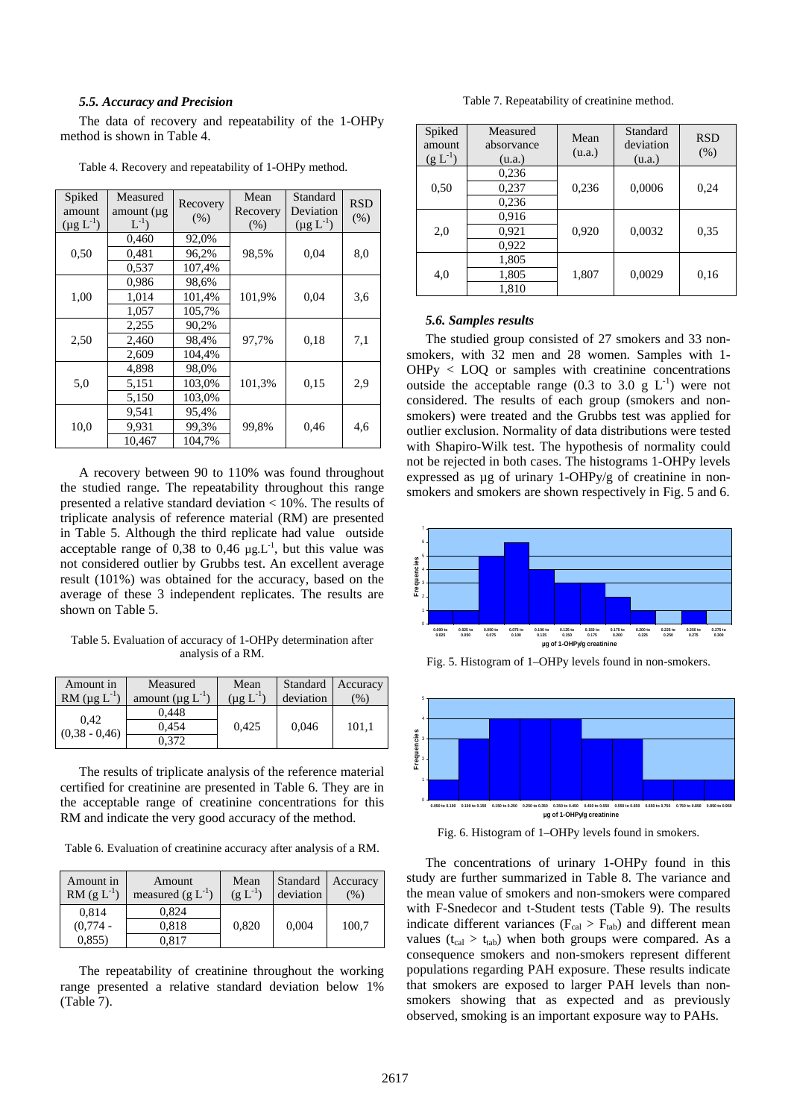#### *5.5. Accuracy and Precision*

The data of recovery and repeatability of the 1-OHPy method is shown in Table 4.

| Spiked<br>amount<br>$(\mu g L^{-1})$ | Measured<br>amount $(\mu g)$<br>$L^{-1}$ ) | Recovery<br>(% ) | Mean<br>Recovery<br>(% ) | Standard<br>Deviation<br>$(\mu g L^{-1})$ | <b>RSD</b><br>(% ) |
|--------------------------------------|--------------------------------------------|------------------|--------------------------|-------------------------------------------|--------------------|
|                                      | 0,460                                      | 92,0%            |                          |                                           |                    |
| 0,50                                 | 0,481                                      | 96,2%            | 98,5%                    | 0,04                                      | 8,0                |
|                                      | 0,537                                      | 107,4%           |                          |                                           |                    |
|                                      | 0,986                                      | 98,6%            |                          |                                           |                    |
| 1,00                                 | 1,014                                      | 101,4%           | 101,9%                   | 0,04                                      | 3,6                |
|                                      | 1,057                                      | 105,7%           |                          |                                           |                    |
|                                      | 2,255                                      | 90,2%            |                          |                                           |                    |
| 2,50                                 | 2,460                                      | 98,4%            | 97,7%                    | 0,18                                      | 7,1                |
|                                      | 2,609                                      | 104,4%           |                          |                                           |                    |
|                                      | 4,898                                      | 98,0%            |                          |                                           |                    |
| 5,0                                  | 5,151                                      | 103,0%           | 101,3%                   | 0.15                                      | 2,9                |
|                                      | 5,150                                      | 103,0%           |                          |                                           |                    |
|                                      | 9,541                                      | 95,4%            |                          |                                           |                    |
| 10,0                                 | 9,931                                      | 99,3%            | 99,8%                    | 0,46                                      | 4,6                |
|                                      | 10,467                                     | 104,7%           |                          |                                           |                    |

Table 4. Recovery and repeatability of 1-OHPy method.

A recovery between 90 to 110% was found throughout the studied range. The repeatability throughout this range presented a relative standard deviation < 10%. The results of triplicate analysis of reference material (RM) are presented in Table 5. Although the third replicate had value outside acceptable range of 0,38 to 0,46  $\mu$ g.L<sup>-1</sup>, but this value was not considered outlier by Grubbs test. An excellent average result (101%) was obtained for the accuracy, based on the average of these 3 independent replicates. The results are shown on Table 5.

Table 5. Evaluation of accuracy of 1-OHPy determination after analysis of a RM.

| Amount in<br>RM $(\mu g L^{-1})$ | Measured<br>amount ( $\mu$ g L <sup>-1</sup> | Mean<br>$(\mu g L^{-1})$ | Standard<br>deviation | <b>Accuracy</b><br>$\frac{9}{0}$ |
|----------------------------------|----------------------------------------------|--------------------------|-----------------------|----------------------------------|
|                                  | 0.448                                        |                          |                       |                                  |
| 0.42<br>$(0.38 - 0.46)$          | 0.454                                        | 0.425                    | 0,046                 | 101,1                            |
|                                  | 0.372                                        |                          |                       |                                  |

The results of triplicate analysis of the reference material certified for creatinine are presented in Table 6. They are in the acceptable range of creatinine concentrations for this RM and indicate the very good accuracy of the method.

Table 6. Evaluation of creatinine accuracy after analysis of a RM.

| Amount in<br>RM $(g L^{-1})$ | Amount<br>measured $(g L^{-1})$ | Mean<br>$(g L^{-1})$ | Standard<br>deviation | Accuracy<br>$\frac{9}{0}$ |
|------------------------------|---------------------------------|----------------------|-----------------------|---------------------------|
| 0,814                        | 0.824                           |                      |                       |                           |
| $(0,774 -$                   | 0.818                           | 0,820                | 0,004                 | 100,7                     |
| 0,855)                       | 0.817                           |                      |                       |                           |

The repeatability of creatinine throughout the working range presented a relative standard deviation below 1% (Table 7).

Table 7. Repeatability of creatinine method.

| Spiked<br>amount<br>$(g L^{-1})$ | Measured<br>absorvance<br>(u.a.) | Mean<br>(u.a.) | Standard<br>deviation<br>(u.a.) | <b>RSD</b><br>(% ) |
|----------------------------------|----------------------------------|----------------|---------------------------------|--------------------|
|                                  | 0,236                            |                |                                 |                    |
| 0.50                             | 0,237                            | 0,236          | 0,0006                          | 0,24               |
|                                  | 0,236                            |                |                                 |                    |
|                                  | 0.916                            |                |                                 |                    |
| 2,0                              | 0.921                            | 0,920          | 0,0032                          | 0.35               |
|                                  | 0,922                            |                |                                 |                    |
|                                  | 1,805                            |                |                                 |                    |
| 4,0                              | 1,805                            | 1,807          | 0,0029                          | 0,16               |
|                                  | 1,810                            |                |                                 |                    |

### *5.6. Samples results*

The studied group consisted of 27 smokers and 33 nonsmokers, with 32 men and 28 women. Samples with 1- OHPy < LOQ or samples with creatinine concentrations outside the acceptable range (0.3 to 3.0 g  $L^{-1}$ ) were not considered. The results of each group (smokers and nonsmokers) were treated and the Grubbs test was applied for outlier exclusion. Normality of data distributions were tested with Shapiro-Wilk test. The hypothesis of normality could not be rejected in both cases. The histograms 1-OHPy levels expressed as ug of urinary 1-OHPy/g of creatinine in nonsmokers and smokers are shown respectively in Fig. 5 and 6.



Fig. 5. Histogram of 1–OHPy levels found in non-smokers.



Fig. 6. Histogram of 1–OHPy levels found in smokers.

The concentrations of urinary 1-OHPy found in this study are further summarized in Table 8. The variance and the mean value of smokers and non-smokers were compared with F-Snedecor and t-Student tests (Table 9). The results indicate different variances ( $F_{cal} > F_{tab}$ ) and different mean values  $(t_{\text{cal}} > t_{\text{lab}})$  when both groups were compared. As a consequence smokers and non-smokers represent different populations regarding PAH exposure. These results indicate that smokers are exposed to larger PAH levels than nonsmokers showing that as expected and as previously observed, smoking is an important exposure way to PAHs.